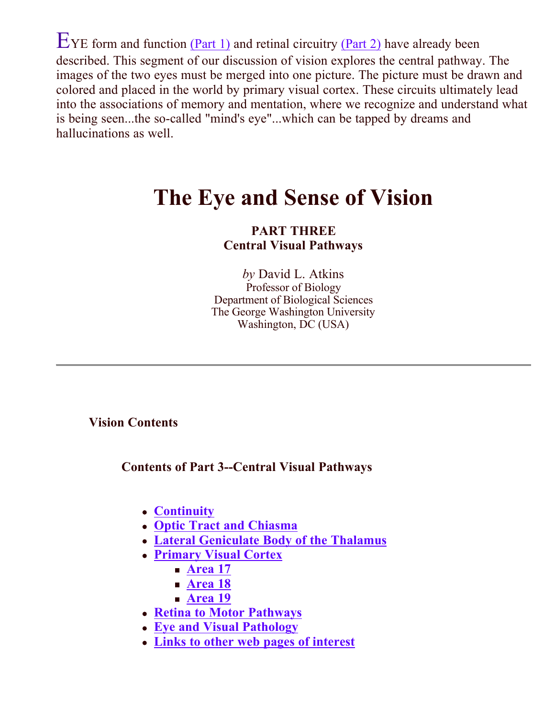$E$ YE form and function  $(Part 1)$  and retinal circuitry  $(Part 2)$  have already been described. This segment of our discussion of vision explores the central pathway. The images of the two eyes must be merged into one picture. The picture must be drawn and colored and placed in the world by primary visual cortex. These circuits ultimately lead into the associations of memory and mentation, where we recognize and understand what is being seen...the so-called "mind's eye"...which can be tapped by dreams and hallucinations as well.

# **The Eye and Sense of Vision**

### **PART THREE Central Visual Pathways**

*by* David L. Atkins Professor of Biology Department of Biological Sciences The George Washington University Washington, DC (USA)

**Vision Contents**

**Contents of Part 3--Central Visual Pathways**

- **Continuity**
- **Optic Tract and Chiasma**
- **Lateral Geniculate Body of the Thalamus**
- **Primary Visual Cortex**
	- **Area 17**
	- **Area 18**
	- **Area 19**
- **Retina to Motor Pathways**
- **Eye and Visual Pathology**
- **Links to other web pages of interest**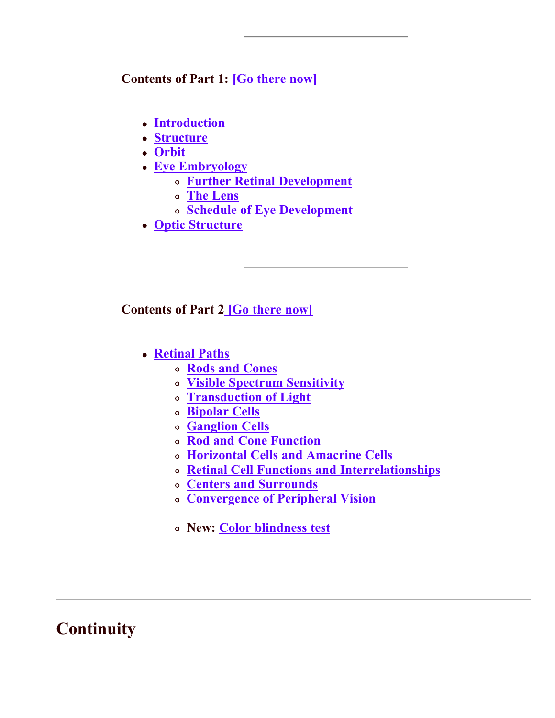#### **Contents of Part 1: [Go there now]**

- **Introduction**
- **Structure**
- **Orbit**
- **Eye Embryology**
	- **Further Retinal Development**
	- **The Lens**
	- **Schedule of Eye Development**
- **Optic Structure**

#### Contents of Part 2<sup>[Go there now]</sup>

- **Retinal Paths**
	- **Rods and Cones**
	- **Visible Spectrum Sensitivity**
	- **Transduction of Light**
	- **Bipolar Cells**
	- **Ganglion Cells**
	- **Rod and Cone Function**
	- **Horizontal Cells and Amacrine Cells**
	- **Retinal Cell Functions and Interrelationships**
	- **Centers and Surrounds**
	- **Convergence of Peripheral Vision**
	- **New: Color blindness test**

### **Continuity**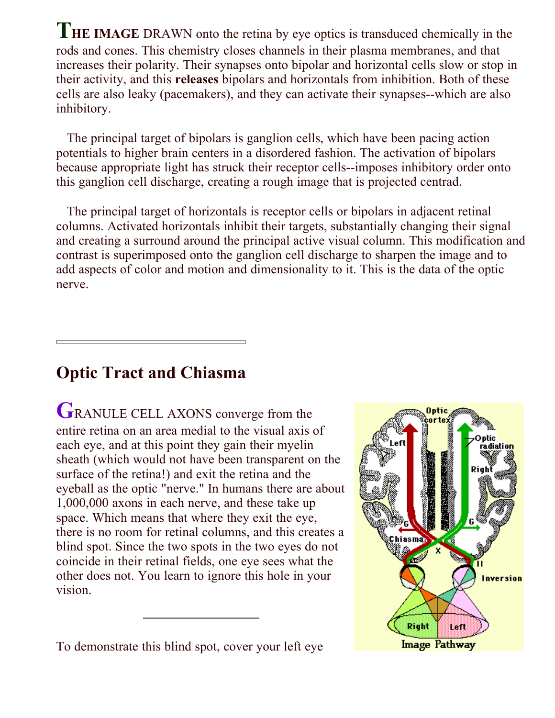THE IMAGE DRAWN onto the retina by eye optics is transduced chemically in the rods and cones. This chemistry closes channels in their plasma membranes, and that increases their polarity. Their synapses onto bipolar and horizontal cells slow or stop in their activity, and this **releases** bipolars and horizontals from inhibition. Both of these cells are also leaky (pacemakers), and they can activate their synapses--which are also inhibitory.

 The principal target of bipolars is ganglion cells, which have been pacing action potentials to higher brain centers in a disordered fashion. The activation of bipolars because appropriate light has struck their receptor cells--imposes inhibitory order onto this ganglion cell discharge, creating a rough image that is projected centrad.

 The principal target of horizontals is receptor cells or bipolars in adjacent retinal columns. Activated horizontals inhibit their targets, substantially changing their signal and creating a surround around the principal active visual column. This modification and contrast is superimposed onto the ganglion cell discharge to sharpen the image and to add aspects of color and motion and dimensionality to it. This is the data of the optic nerve.

### **Optic Tract and Chiasma**

GRANULE CELL AXONS converge from the entire retina on an area medial to the visual axis of each eye, and at this point they gain their myelin sheath (which would not have been transparent on the surface of the retina!) and exit the retina and the eyeball as the optic "nerve." In humans there are about 1,000,000 axons in each nerve, and these take up space. Which means that where they exit the eye, there is no room for retinal columns, and this creates a blind spot. Since the two spots in the two eyes do not coincide in their retinal fields, one eye sees what the other does not. You learn to ignore this hole in your vision.

To demonstrate this blind spot, cover your left eye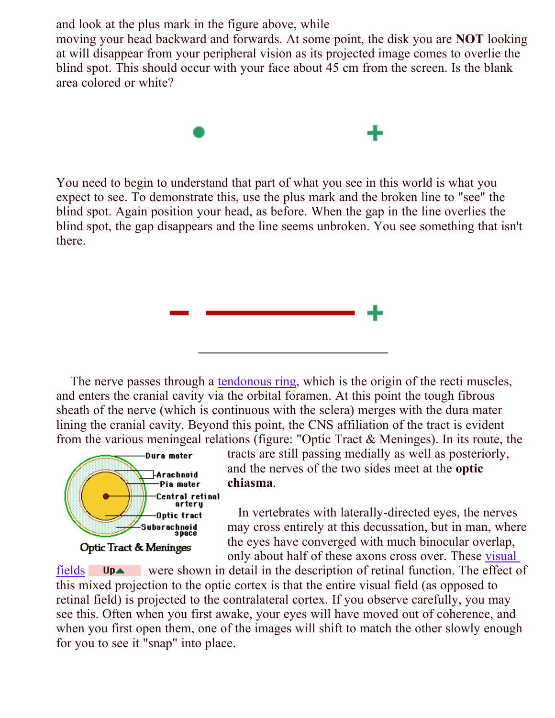and look at the plus mark in the figure above, while

moving your head backward and forwards. At some point, the disk you are **NOT** looking at will disappear from your peripheral vision as its projected image comes to overlie the blind spot. This should occur with your face about 45 cm from the screen. Is the blank area colored or white?



You need to begin to understand that part of what you see in this world is what you expect to see. To demonstrate this, use the plus mark and the broken line to "see" the blind spot. Again position your head, as before. When the gap in the line overlies the blind spot, the gap disappears and the line seems unbroken. You see something that isn't there.



The nerve passes through a **tendonous ring**, which is the origin of the recti muscles, and enters the cranial cavity via the orbital foramen. At this point the tough fibrous sheath of the nerve (which is continuous with the sclera) merges with the dura mater lining the cranial cavity. Beyond this point, the CNS affiliation of the tract is evident from the various meningeal relations (figure: "Optic Tract & Meninges). In its route, the



tracts are still passing medially as well as posteriorly, and the nerves of the two sides meet at the **optic**  . **chiasma**

 In vertebrates with laterally-directed eyes, the nerves may cross entirely at this decussation, but in man, where the eyes have converged with much binocular overlap, only about half of these axons cross over. These visual

fields Up vere shown in detail in the description of retinal function. The effect of this mixed projection to the optic cortex is that the entire visual field (as opposed to retinal field) is projected to the contralateral cortex. If you observe carefully, you may see this. Often when you first awake, your eyes will have moved out of coherence, and when you first open them, one of the images will shift to match the other slowly enough for you to see it "snap" into place.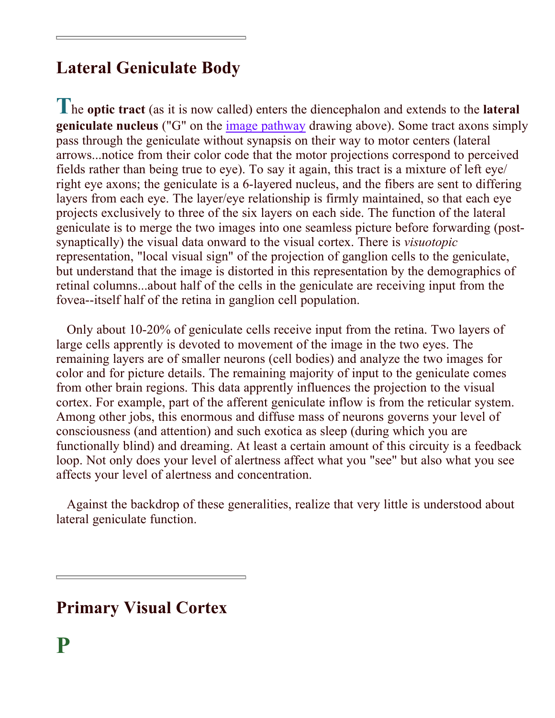## **Lateral Geniculate Body**

The optic tract (as it is now called) enters the diencephalon and extends to the lateral **geniculate nucleus** ("G" on the *image pathway* drawing above). Some tract axons simply pass through the geniculate without synapsis on their way to motor centers (lateral arrows...notice from their color code that the motor projections correspond to perceived fields rather than being true to eye). To say it again, this tract is a mixture of left eye/ right eye axons; the geniculate is a 6-layered nucleus, and the fibers are sent to differing layers from each eye. The layer/eye relationship is firmly maintained, so that each eye projects exclusively to three of the six layers on each side. The function of the lateral geniculate is to merge the two images into one seamless picture before forwarding (postsynaptically) the visual data onward to the visual cortex. There is *visuotopic* representation, "local visual sign" of the projection of ganglion cells to the geniculate, but understand that the image is distorted in this representation by the demographics of retinal columns...about half of the cells in the geniculate are receiving input from the fovea--itself half of the retina in ganglion cell population.

 Only about 10-20% of geniculate cells receive input from the retina. Two layers of large cells apprently is devoted to movement of the image in the two eyes. The remaining layers are of smaller neurons (cell bodies) and analyze the two images for color and for picture details. The remaining majority of input to the geniculate comes from other brain regions. This data apprently influences the projection to the visual cortex. For example, part of the afferent geniculate inflow is from the reticular system. Among other jobs, this enormous and diffuse mass of neurons governs your level of consciousness (and attention) and such exotica as sleep (during which you are functionally blind) and dreaming. At least a certain amount of this circuity is a feedback loop. Not only does your level of alertness affect what you "see" but also what you see affects your level of alertness and concentration.

 Against the backdrop of these generalities, realize that very little is understood about lateral geniculate function.

**Primary Visual Cortex**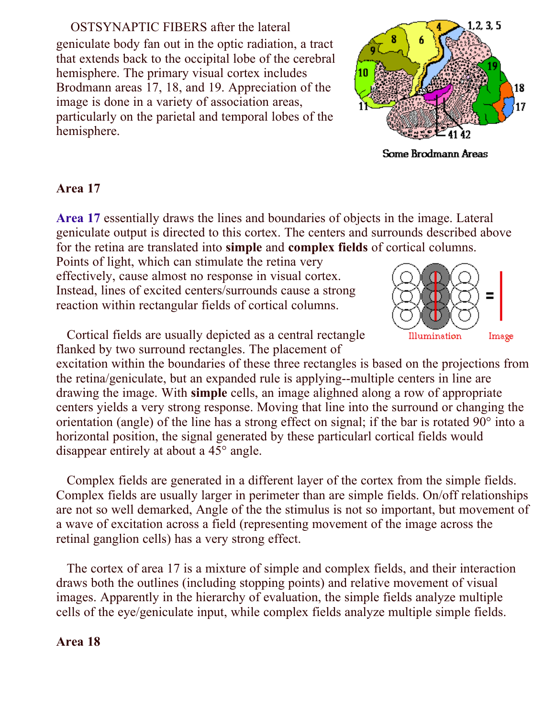OSTSYNAPTIC FIBERS after the lateral geniculate body fan out in the optic radiation, a tract that extends back to the occipital lobe of the cerebral hemisphere. The primary visual cortex includes Brodmann areas 17, 18, and 19. Appreciation of the image is done in a variety of association areas, particularly on the parietal and temporal lobes of the hemisphere.



Some Brodmann Areas

### **Area 17**

Area 17 essentially draws the lines and boundaries of objects in the image. Lateral geniculate output is directed to this cortex. The centers and surrounds described above for the retina are translated into **simple** and **complex fields** of cortical columns.

Points of light, which can stimulate the retina very effectively, cause almost no response in visual cortex. Instead, lines of excited centers/surrounds cause a strong reaction within rectangular fields of cortical columns.

 Cortical fields are usually depicted as a central rectangle flanked by two surround rectangles. The placement of

excitation within the boundaries of these three rectangles is based on the projections from the retina/geniculate, but an expanded rule is applying--multiple centers in line are drawing the image. With simple cells, an image alighned along a row of appropriate centers yields a very strong response. Moving that line into the surround or changing the orientation (angle) of the line has a strong effect on signal; if the bar is rotated 90° into a horizontal position, the signal generated by these particularl cortical fields would disappear entirely at about a 45° angle.

 Complex fields are generated in a different layer of the cortex from the simple fields. Complex fields are usually larger in perimeter than are simple fields. On/off relationships are not so well demarked, Angle of the the stimulus is not so important, but movement of a wave of excitation across a field (representing movement of the image across the retinal ganglion cells) has a very strong effect.

 The cortex of area 17 is a mixture of simple and complex fields, and their interaction draws both the outlines (including stopping points) and relative movement of visual images. Apparently in the hierarchy of evaluation, the simple fields analyze multiple cells of the eye/geniculate input, while complex fields analyze multiple simple fields.

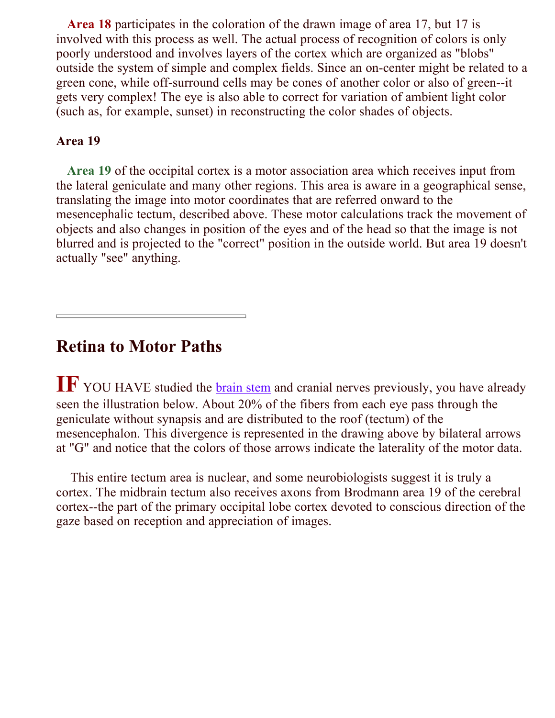Area 18 participates in the coloration of the drawn image of area 17, but 17 is involved with this process as well. The actual process of recognition of colors is only poorly understood and involves layers of the cortex which are organized as "blobs" outside the system of simple and complex fields. Since an on-center might be related to a green cone, while off-surround cells may be cones of another color or also of green--it gets very complex! The eye is also able to correct for variation of ambient light color (such as, for example, sunset) in reconstructing the color shades of objects.

#### **Area 19**

Area 19 of the occipital cortex is a motor association area which receives input from the lateral geniculate and many other regions. This area is aware in a geographical sense, translating the image into motor coordinates that are referred onward to the mesencephalic tectum, described above. These motor calculations track the movement of objects and also changes in position of the eyes and of the head so that the image is not blurred and is projected to the "correct" position in the outside world. But area 19 doesn't actually "see" anything.

### **Retina to Motor Paths**

IF YOU HAVE studied the **brain stem** and cranial nerves previously, you have already seen the illustration below. About 20% of the fibers from each eye pass through the geniculate without synapsis and are distributed to the roof (tectum) of the mesencephalon. This divergence is represented in the drawing above by bilateral arrows at "G" and notice that the colors of those arrows indicate the laterality of the motor data.

 This entire tectum area is nuclear, and some neurobiologists suggest it is truly a cortex. The midbrain tectum also receives axons from Brodmann area 19 of the cerebral cortex--the part of the primary occipital lobe cortex devoted to conscious direction of the gaze based on reception and appreciation of images.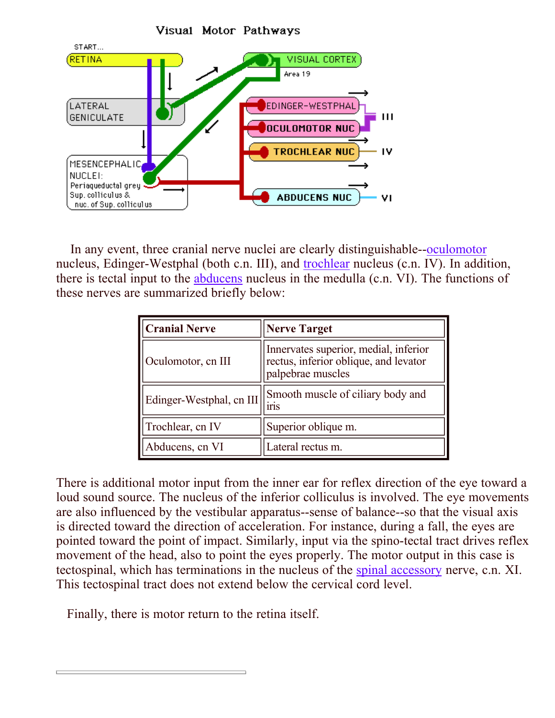

In any event, three cranial nerve nuclei are clearly distinguishable--oculomotor nucleus, Edinger-Westphal (both c.n. III), and trochlear nucleus (c.n. IV). In addition, there is tectal input to the **abducens** nucleus in the medulla (c.n. VI). The functions of these nerves are summarized briefly below:

| <b>Cranial Nerve</b>     | <b>Nerve Target</b>                                                                                 |
|--------------------------|-----------------------------------------------------------------------------------------------------|
| Oculomotor, cn III       | Innervates superior, medial, inferior<br>rectus, inferior oblique, and levator<br>palpebrae muscles |
| Edinger-Westphal, cn III | Smooth muscle of ciliary body and<br><b>IMS</b>                                                     |
| Trochlear, cn IV         | Superior oblique m.                                                                                 |
| Abducens, cn VI          | Lateral rectus m.                                                                                   |

There is additional motor input from the inner ear for reflex direction of the eye toward a loud sound source. The nucleus of the inferior colliculus is involved. The eye movements are also influenced by the vestibular apparatus--sense of balance--so that the visual axis is directed toward the direction of acceleration. For instance, during a fall, the eyes are pointed toward the point of impact. Similarly, input via the spino-tectal tract drives reflex movement of the head, also to point the eyes properly. The motor output in this case is tectospinal, which has terminations in the nucleus of the spinal accessory nerve, c.n. XI. This tectospinal tract does not extend below the cervical cord level.

Finally, there is motor return to the retina itself.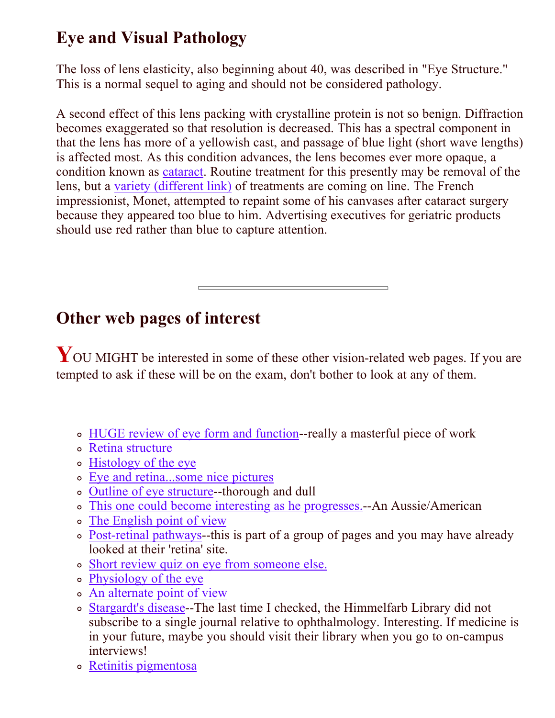# **Eye and Visual Pathology**

The loss of lens elasticity, also beginning about 40, was described in "Eye Structure." This is a normal sequel to aging and should not be considered pathology.

A second effect of this lens packing with crystalline protein is not so benign. Diffraction becomes exaggerated so that resolution is decreased. This has a spectral component in that the lens has more of a yellowish cast, and passage of blue light (short wave lengths) is affected most. As this condition advances, the lens becomes ever more opaque, a condition known as *cataract*. Routine treatment for this presently may be removal of the lens, but a variety (different link) of treatments are coming on line. The French impressionist, Monet, attempted to repaint some of his canvases after cataract surgery because they appeared too blue to him. Advertising executives for geriatric products should use red rather than blue to capture attention.

### **Other web pages of interest**

YOU MIGHT be interested in some of these other vision-related web pages. If you are tempted to ask if these will be on the exam, don't bother to look at any of them.

- HUGE review of eye form and function--really a masterful piece of work
- Retina structure
- Histology of the eye
- Eye and retina...some nice pictures
- Outline of eye structure--thorough and dull
- This one could become interesting as he progresses.--An Aussie/American
- The English point of view
- Post-retinal pathways--this is part of a group of pages and you may have already looked at their 'retina' site.
- Short review quiz on eye from someone else.
- Physiology of the eye
- An alternate point of view
- Stargardt's disease--The last time I checked, the Himmelfarb Library did not subscribe to a single journal relative to ophthalmology. Interesting. If medicine is in your future, maybe you should visit their library when you go to on-campus interviews!
- Retinitis pigmentosa